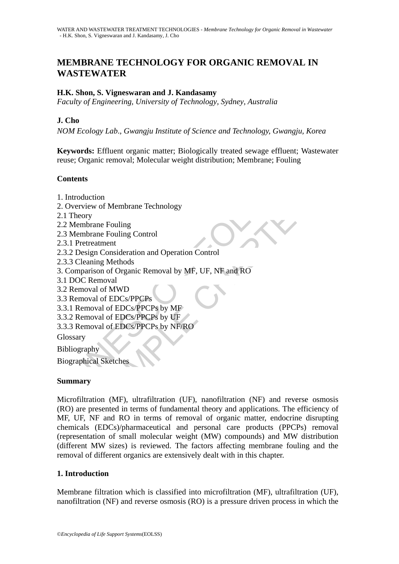# **MEMBRANE TECHNOLOGY FOR ORGANIC REMOVAL IN WASTEWATER**

## **H.K. Shon, S. Vigneswaran and J. Kandasamy**

*Faculty of Engineering, University of Technology, Sydney, Australia* 

### **J. Cho**

*NOM Ecology Lab*.*, Gwangju Institute of Science and Technology, Gwangju, Korea* 

**Keywords:** Effluent organic matter; Biologically treated sewage effluent; Wastewater reuse; Organic removal; Molecular weight distribution; Membrane; Fouling

### **Contents**

- 1. Introduction
- 2. Overview of Membrane Technology
- 2.1 Theory
- 2.2 Membrane Fouling
- 2.3 Membrane Fouling Control
- 2.3.1 Pretreatment
- 2.3.2 Design Consideration and Operation Control
- 2.3.3 Cleaning Methods
- **ntroduction**<br>
thents<br>
therefore of Membrane Technology<br>
Theory<br>
Membrane Fouling<br>
Membrane Fouling Control<br>
2 Design Consideration and Operation Control<br>
3 Cleaning Methods<br>
comparison of Organic Removal by MF, UF, NF and 3. Comparison of Organic Removal by MF, UF, NF and RO
- 3.1 DOC Removal
- 3.2 Removal of MWD
- 3.3 Removal of EDCs/PPCPs
- 3.3.1 Removal of EDCs/PPCPs by MF
- 3.3.2 Removal of EDCs/PPCPs by UF
- 3.3.3 Removal of EDCs/PPCPs by NF/RO

**Glossary** 

Bibliography

Biographical Sketches

### **Summary**

tion<br>
worf Membrane Technology<br>
ane Fouling<br>
ane Fouling Control<br>
aatment<br>
im Consideration and Operation Control<br>
and of EDCs of Organic Removal by MF, UF, NF and RO<br>
lead of EDCs/PPCPs<br>
and of EDCs/PPCPs<br>
by MF<br>
wal of E Microfiltration (MF), ultrafiltration (UF), nanofiltration (NF) and reverse osmosis (RO) are presented in terms of fundamental theory and applications. The efficiency of MF, UF, NF and RO in terms of removal of organic matter, endocrine disrupting chemicals (EDCs)/pharmaceutical and personal care products (PPCPs) removal (representation of small molecular weight (MW) compounds) and MW distribution (different MW sizes) is reviewed. The factors affecting membrane fouling and the removal of different organics are extensively dealt with in this chapter.

### **1. Introduction**

Membrane filtration which is classified into microfiltration (MF), ultrafiltration (UF), nanofiltration (NF) and reverse osmosis (RO) is a pressure driven process in which the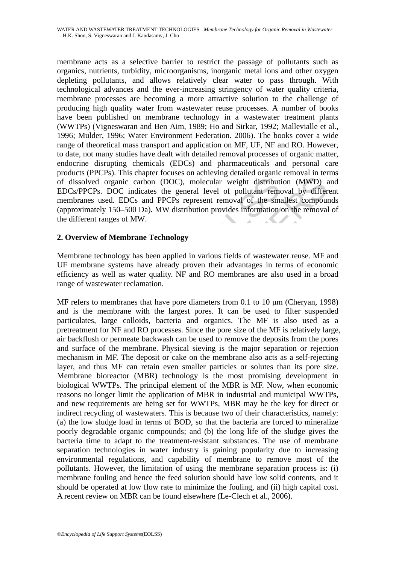membrane acts as a selective barrier to restrict the passage of pollutants such as organics, nutrients, turbidity, microorganisms, inorganic metal ions and other oxygen depleting pollutants, and allows relatively clear water to pass through. With technological advances and the ever-increasing stringency of water quality criteria, membrane processes are becoming a more attractive solution to the challenge of producing high quality water from wastewater reuse processes. A number of books have been published on membrane technology in a wastewater treatment plants (WWTPs) (Vigneswaran and Ben Aim, 1989; Ho and Sirkar, 1992; Mallevialle et al., 1996; Mulder, 1996; Water Environment Federation. 2006). The books cover a wide range of theoretical mass transport and application on MF, UF, NF and RO. However, to date, not many studies have dealt with detailed removal processes of organic matter, endocrine disrupting chemicals (EDCs) and pharmaceuticals and personal care products (PPCPs). This chapter focuses on achieving detailed organic removal in terms of dissolved organic carbon (DOC), molecular weight distribution (MWD) and EDCs/PPCPs. DOC indicates the general level of pollutant removal by different membranes used. EDCs and PPCPs represent removal of the smallest compounds (approximately 150–500 Da). MW distribution provides information on the removal of the different ranges of MW.

# **2. Overview of Membrane Technology**

Membrane technology has been applied in various fields of wastewater reuse. MF and UF membrane systems have already proven their advantages in terms of economic efficiency as well as water quality. NF and RO membranes are also used in a broad range of wastewater reclamation.

dissolved organic carbon (DOC), molecular weight distribut<br>
Cs/PPCPs. DOC indicates the general level of pollutant remembranes used. EDCs and PPCPs represent removal of the sm<br>
roximately 150–500 Da). MW distribution provi ed organic carbon (DOC), molecular weight distribution (MWD) is<br>Ps. DOC indicates the general level of pollutant removal by differ<br>sused. EDCs and PPCPs represent removal of the smallest compound<br>technology has been applie MF refers to membranes that have pore diameters from 0.1 to 10 μm (Cheryan, 1998) and is the membrane with the largest pores. It can be used to filter suspended particulates, large colloids, bacteria and organics. The MF is also used as a pretreatment for NF and RO processes. Since the pore size of the MF is relatively large, air backflush or permeate backwash can be used to remove the deposits from the pores and surface of the membrane. Physical sieving is the major separation or rejection mechanism in MF. The deposit or cake on the membrane also acts as a self-rejecting layer, and thus MF can retain even smaller particles or solutes than its pore size. Membrane bioreactor (MBR) technology is the most promising development in biological WWTPs. The principal element of the MBR is MF. Now, when economic reasons no longer limit the application of MBR in industrial and municipal WWTPs, and new requirements are being set for WWTPs, MBR may be the key for direct or indirect recycling of wastewaters. This is because two of their characteristics, namely: (a) the low sludge load in terms of BOD, so that the bacteria are forced to mineralize poorly degradable organic compounds; and (b) the long life of the sludge gives the bacteria time to adapt to the treatment-resistant substances. The use of membrane separation technologies in water industry is gaining popularity due to increasing environmental regulations, and capability of membrane to remove most of the pollutants. However, the limitation of using the membrane separation process is: (i) membrane fouling and hence the feed solution should have low solid contents, and it should be operated at low flow rate to minimize the fouling, and (ii) high capital cost. A recent review on MBR can be found elsewhere (Le-Clech et al., 2006).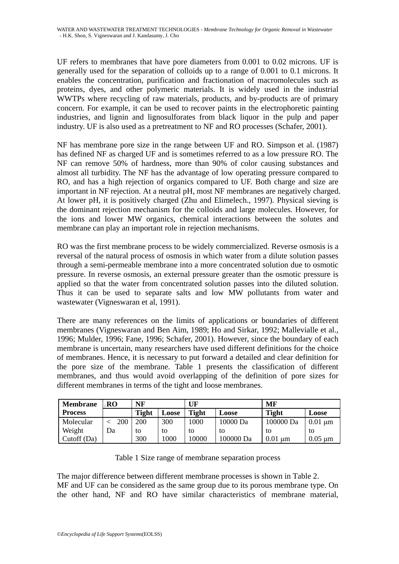UF refers to membranes that have pore diameters from 0.001 to 0.02 microns. UF is generally used for the separation of colloids up to a range of 0.001 to 0.1 microns. It enables the concentration, purification and fractionation of macromolecules such as proteins, dyes, and other polymeric materials. It is widely used in the industrial WWTPs where recycling of raw materials, products, and by-products are of primary concern. For example, it can be used to recover paints in the electrophoretic painting industries, and lignin and lignosulforates from black liquor in the pulp and paper industry. UF is also used as a pretreatment to NF and RO processes (Schafer, 2001).

NF has membrane pore size in the range between UF and RO. Simpson et al. (1987) has defined NF as charged UF and is sometimes referred to as a low pressure RO. The NF can remove 50% of hardness, more than 90% of color causing substances and almost all turbidity. The NF has the advantage of low operating pressure compared to RO, and has a high rejection of organics compared to UF. Both charge and size are important in NF rejection. At a neutral pH, most NF membranes are negatively charged. At lower pH, it is positively charged (Zhu and Elimelech., 1997). Physical sieving is the dominant rejection mechanism for the colloids and large molecules. However, for the ions and lower MW organics, chemical interactions between the solutes and membrane can play an important role in rejection mechanisms.

RO was the first membrane process to be widely commercialized. Reverse osmosis is a reversal of the natural process of osmosis in which water from a dilute solution passes through a semi-permeable membrane into a more concentrated solution due to osmotic pressure. In reverse osmosis, an external pressure greater than the osmotic pressure is applied so that the water from concentrated solution passes into the diluted solution. Thus it can be used to separate salts and low MW pollutants from water and wastewater (Vigneswaran et al, 1991).

and has a high rejection of organics compared to UF. Both chortant in NF rejection. At a neutral pH, most NF membranes are nower pH, it is positively charged (Zhu and Elimelech, 1997). P dominant rejection mechanism for th as a high rejection of organics compared to UF. Both charge and size<br>as a high rejection of organics compared to UF. Both charge and size<br>in NF rejection. At a neutral pH, most NF membranes are negatively charge<br>in NF it There are many references on the limits of applications or boundaries of different membranes (Vigneswaran and Ben Aim, 1989; Ho and Sirkar, 1992; Mallevialle et al., 1996; Mulder, 1996; Fane, 1996; Schafer, 2001). However, since the boundary of each membrane is uncertain, many researchers have used different definitions for the choice of membranes. Hence, it is necessary to put forward a detailed and clear definition for the pore size of the membrane. Table 1 presents the classification of different membranes, and thus would avoid overlapping of the definition of pore sizes for different membranes in terms of the tight and loose membranes.

| <b>Membrane</b> | RO  | NF           |       | UF           |           | MF           |              |
|-----------------|-----|--------------|-------|--------------|-----------|--------------|--------------|
| <b>Process</b>  |     | <b>Tight</b> | Loose | <b>Tight</b> | Loose     | <b>Tight</b> | Loose        |
| Molecular       | 200 | 200          | 300   | 1000         | 10000 Da  | 100000 Da    | $0.01 \mu m$ |
| Weight          | Dа  | to           | to    | tο           | tο        | tο           | tο           |
| Cutoff (Da)     |     | 300          | 1000  | 10000        | 100000 Da | 0.01<br>um   | $0.05 \mu m$ |

Table 1 Size range of membrane separation process

The major difference between different membrane processes is shown in Table 2. MF and UF can be considered as the same group due to its porous membrane type. On the other hand, NF and RO have similar characteristics of membrane material,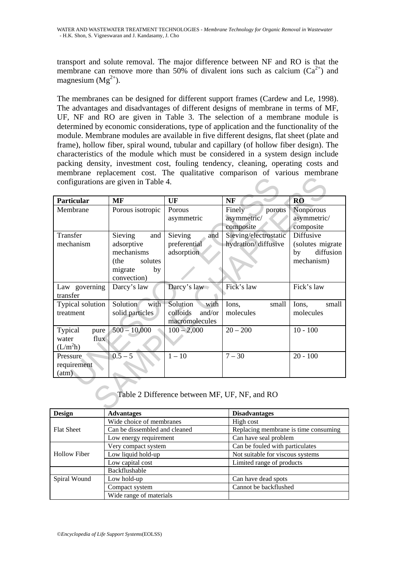transport and solute removal. The major difference between NF and RO is that the membrane can remove more than 50% of divalent ions such as calcium  $(Ca^{2+})$  and magnesium  $(Mg^{2+})$ .

The membranes can be designed for different support frames (Cardew and Le, 1998). The advantages and disadvantages of different designs of membrane in terms of MF, UF, NF and RO are given in Table 3. The selection of a membrane module is determined by economic considerations, type of application and the functionality of the module. Membrane modules are available in five different designs, flat sheet (plate and frame), hollow fiber, spiral wound, tubular and capillary (of hollow fiber design). The characteristics of the module which must be considered in a system design include packing density, investment cost, fouling tendency, cleaning, operating costs and membrane replacement cost. The qualitative comparison of various membrane configurations are given in Table 4.

| configurations are given in Table 4.                     |                                                                                               |                                                          |                                              |                                                                |
|----------------------------------------------------------|-----------------------------------------------------------------------------------------------|----------------------------------------------------------|----------------------------------------------|----------------------------------------------------------------|
| <b>Particular</b>                                        | <b>MF</b>                                                                                     | UF                                                       | NF                                           | <b>RO</b>                                                      |
| Membrane                                                 | Porous isotropic                                                                              | Porous<br>asymmetric                                     | Finely<br>porous<br>asymmetric/<br>composite | Nonporous<br>asymmetric/<br>composite                          |
| Transfer<br>mechanism                                    | Sieving<br>and<br>adsorptive<br>mechanisms<br>solutes<br>(the<br>migrate<br>by<br>convection) | Sieving<br>and<br>preferential<br>adsorption             | Sieving/electrostatic<br>hydration/diffusive | Diffusive<br>(solutes migrate<br>diffusion<br>by<br>mechanism) |
| Law governing<br>transfer                                | Darcy's law                                                                                   | Darcy's law                                              | Fick's law                                   | Fick's law                                                     |
| Typical solution<br>treatment                            | Solution<br>with<br>solid particles                                                           | Solution<br>with<br>colloids<br>and/or<br>macromolecules | Ions,<br>small<br>molecules                  | Ions,<br>small<br>molecules                                    |
| Typical<br>pure<br>flux<br>water<br>(L/m <sup>2</sup> h) | $500 - 10,000$                                                                                | $100 - 2,000$                                            | $20 - 200$                                   | $10 - 100$                                                     |
| Pressure<br>requirement<br>(atm)                         | $0.5 - 5$                                                                                     | $1 - 10$                                                 | $7 - 30$                                     | $20 - 100$                                                     |
| Table 2 Difference between MF, UF, NF, and RO            |                                                                                               |                                                          |                                              |                                                                |

| <b>Design</b>       | <b>Advantages</b>             | <b>Disadvantages</b>                 |  |
|---------------------|-------------------------------|--------------------------------------|--|
|                     | Wide choice of membranes      | High cost                            |  |
| <b>Flat Sheet</b>   | Can be dissembled and cleaned | Replacing membrane is time consuming |  |
|                     | Low energy requirement        | Can have seal problem                |  |
|                     | Very compact system           | Can be fouled with particulates      |  |
| <b>Hollow Fiber</b> | Low liquid hold-up            | Not suitable for viscous systems     |  |
|                     | Low capital cost              | Limited range of products            |  |
|                     | Backflushable                 |                                      |  |
| Spiral Wound        | Low hold-up                   | Can have dead spots                  |  |
|                     | Compact system                | Cannot be backflushed                |  |
|                     | Wide range of materials       |                                      |  |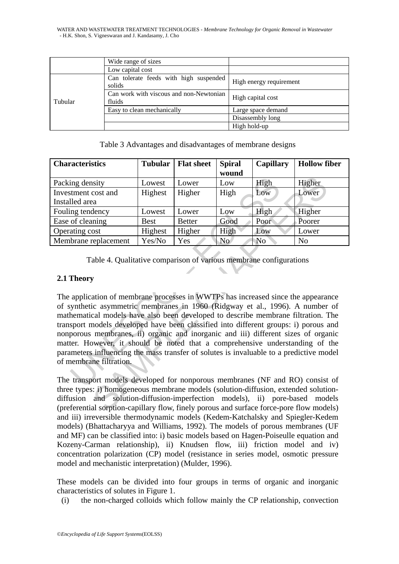WATER AND WASTEWATER TREATMENT TECHNOLOGIES - *Membrane Technology for Organic Removal in Wastewater* - H.K. Shon, S. Vigneswaran and J. Kandasamy, J. Cho

|         | Wide range of sizes                               |                         |  |
|---------|---------------------------------------------------|-------------------------|--|
|         | Low capital cost                                  |                         |  |
| Tubular | Can tolerate feeds with high suspended<br>solids  | High energy requirement |  |
|         | Can work with viscous and non-Newtonian<br>fluids | High capital cost       |  |
|         | Easy to clean mechanically                        | Large space demand      |  |
|         |                                                   | Disassembly long        |  |
|         |                                                   | High hold-up            |  |

Table 3 Advantages and disadvantages of membrane designs

| <b>Characteristics</b> | <b>Tubular</b> | <b>Flat sheet</b> | <b>Spiral</b> | <b>Capillary</b> | <b>Hollow fiber</b> |
|------------------------|----------------|-------------------|---------------|------------------|---------------------|
|                        |                |                   | wound         |                  |                     |
| Packing density        | Lowest         | Lower             | Low           | High             | Higher              |
| Investment cost and    | Highest        | Higher            | High          | Low              | Lower               |
| Installed area         |                |                   |               |                  |                     |
| Fouling tendency       | Lowest         | Lower             | Low           | High             | Higher              |
| Ease of cleaning       | <b>Best</b>    | <b>Better</b>     | Good          | Poor             | Poorer              |
| Operating cost         | Highest        | Higher            | High          | Low              | Lower               |
| Membrane replacement   | Yes/No         | Yes               | No.           | No               | N <sub>o</sub>      |

Table 4. Qualitative comparison of various membrane configurations

# **2.1 Theory**

ing density<br>
ILOWERT LOWERT LOWERT LOWERT UNITY UNITY UNITY UNITY UNITY UNITY UNITY UNITY UNITY UNITY UNITY UNITY UNITY OF<br>
Density of cleaning Best Better Good Poor<br>
Integrals and Highest Higher High Low<br>
Unitairy cost Hi Solution and Solution Higher Higher Higher<br>
Solution Highest Higher High Low Lower<br>
Higher Higher High Low Lower<br>
Higher Higher Higher High Higher Higher Higher Higher Higher Higher Better Good Poor Poorer<br>
Highest Higher The application of membrane processes in WWTPs has increased since the appearance of synthetic asymmetric membranes in 1960 (Ridgway et al., 1996). A number of mathematical models have also been developed to describe membrane filtration. The transport models developed have been classified into different groups: i) porous and nonporous membranes, ii) organic and inorganic and iii) different sizes of organic matter. However, it should be noted that a comprehensive understanding of the parameters influencing the mass transfer of solutes is invaluable to a predictive model of membrane filtration.

The transport models developed for nonporous membranes (NF and RO) consist of three types: i) homogeneous membrane models (solution-diffusion, extended solutiondiffusion and solution-diffusion-imperfection models), ii) pore-based models (preferential sorption-capillary flow, finely porous and surface force-pore flow models) and iii) irreversible thermodynamic models (Kedem-Katchalsky and Spiegler-Kedem models) (Bhattacharyya and Williams, 1992). The models of porous membranes (UF and MF) can be classified into: i) basic models based on Hagen-Poiseulle equation and Kozeny-Carman relationship), ii) Knudsen flow, iii) friction model and iv) concentration polarization (CP) model (resistance in series model, osmotic pressure model and mechanistic interpretation) (Mulder, 1996).

These models can be divided into four groups in terms of organic and inorganic characteristics of solutes in Figure 1.

(i) the non-charged colloids which follow mainly the CP relationship, convection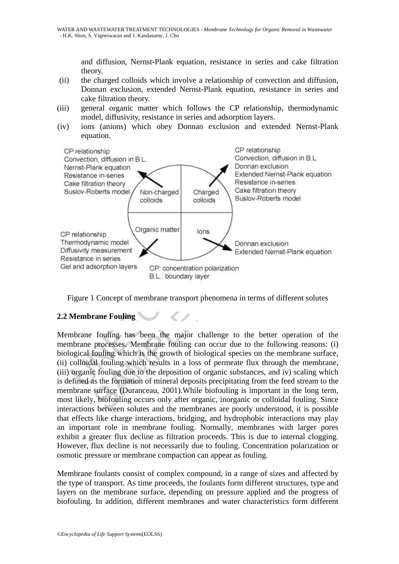and diffusion, Nernst-Plank equation, resistance in series and cake filtration theory.

- (ii) the charged colloids which involve a relationship of convection and diffusion, Donnan exclusion, extended Nernst-Plank equation, resistance in series and cake filtration theory.
- (iii) general organic matter which follows the CP relationship, thermodynamic model, diffusivity, resistance in series and adsorption layers.
- (iv) ions (anions) which obey Donnan exclusion and extended Nernst-Plank equation.



Figure 1 Concept of membrane transport phenomena in terms of different solutes

# **2.2 Membrane Fouling**

Membrane fouling has been the major challenge to the better operation of the membrane processes. Membrane fouling can occur due to the following reasons: (i) biological fouling which is the growth of biological species on the membrane surface, (ii) colloidal fouling which results in a loss of permeate flux through the membrane, (iii) organic fouling due to the deposition of organic substances, and iv) scaling which is defined as the formation of mineral deposits precipitating from the feed stream to the membrane surface (Duranceau, 2001).While biofouling is important in the long term, most likely, biofouling occurs only after organic, inorganic or colloidal fouling. Since interactions between solutes and the membranes are poorly understood, it is possible that effects like charge interactions, bridging, and hydrophobic interactions may play an important role in membrane fouling. Normally, membranes with larger pores exhibit a greater flux decline as filtration proceeds. This is due to internal clogging. However, flux decline is not necessarily due to fouling. Concentration polarization or osmotic pressure or membrane compaction can appear as fouling.

Membrane foulants consist of complex compound, in a range of sizes and affected by the type of transport. As time proceeds, the foulants form different structures, type and layers on the membrane surface, depending on pressure applied and the progress of biofouling. In addition, different membranes and water characteristics form different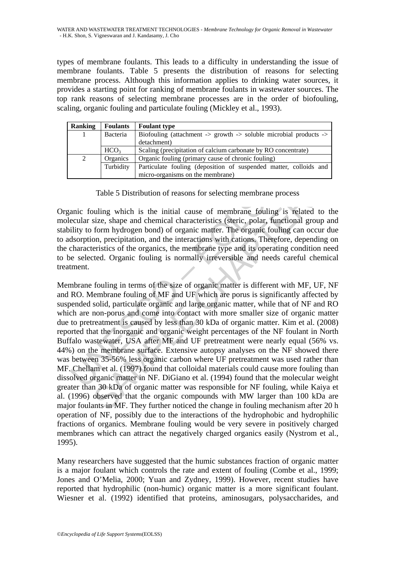types of membrane foulants. This leads to a difficulty in understanding the issue of membrane foulants. Table 5 presents the distribution of reasons for selecting membrane process. Although this information applies to drinking water sources, it provides a starting point for ranking of membrane foulants in wastewater sources. The top rank reasons of selecting membrane processes are in the order of biofouling, scaling, organic fouling and particulate fouling (Mickley et al., 1993).

| <b>Ranking</b> | <b>Foulants</b>  | <b>Foulant type</b>                                                                                |  |  |
|----------------|------------------|----------------------------------------------------------------------------------------------------|--|--|
| 1              | Bacteria         | Biofouling (attachment $\rightarrow$ growth $\rightarrow$ soluble microbial products $\rightarrow$ |  |  |
|                |                  | detachment)                                                                                        |  |  |
|                | HCO <sub>3</sub> | Scaling (precipitation of calcium carbonate by RO concentrate)                                     |  |  |
| 2              | Organics         | Organic fouling (primary cause of chronic fouling)                                                 |  |  |
|                | Turbidity        | Particulate fouling (deposition of suspended matter, colloids and                                  |  |  |
|                |                  | micro-organisms on the membrane)                                                                   |  |  |

Table 5 Distribution of reasons for selecting membrane process

Organic fouling which is the initial cause of membrane fouling is related to the molecular size, shape and chemical characteristics (steric, polar, functional group and stability to form hydrogen bond) of organic matter. The organic fouling can occur due to adsorption, precipitation, and the interactions with cations. Therefore, depending on the characteristics of the organics, the membrane type and its operating condition need to be selected. Organic fouling is normally irreversible and needs careful chemical treatment.

The Solution of reasons for selecting membrane provided and the initial cause of membrane provided and the initial cause of membrane fouling ecular size, shape and chemical characteristics (steric, polar, functions display Table 5 Distribution of reasons for selecting membrane process<br>vuling which is the initial cause of membrane fouling is related to<br>size, shape and chemical characteristics (steric, polar, functional group a<br>form hydrogen b Membrane fouling in terms of the size of organic matter is different with MF, UF, NF and RO. Membrane fouling of MF and UF which are porus is significantly affected by suspended solid, particulate organic and large organic matter, while that of NF and RO which are non-porus and come into contact with more smaller size of organic matter due to pretreatment is caused by less than 30 kDa of organic matter. Kim et al. (2008) reported that the inorganic and organic weight percentages of the NF foulant in North Buffalo wastewater, USA after MF and UF pretreatment were nearly equal (56% vs. 44%) on the membrane surface. Extensive autopsy analyses on the NF showed there was between 35-56% less organic carbon where UF pretreatment was used rather than MF. Chellam et al. (1997) found that colloidal materials could cause more fouling than dissolved organic matter in NF. DiGiano et al. (1994) found that the molecular weight greater than 30 kDa of organic matter was responsible for NF fouling, while Kaiya et al. (1996) observed that the organic compounds with MW larger than 100 kDa are major foulants in MF. They further noticed the change in fouling mechanism after 20 h operation of NF, possibly due to the interactions of the hydrophobic and hydrophilic fractions of organics. Membrane fouling would be very severe in positively charged membranes which can attract the negatively charged organics easily (Nystrom et al., 1995).

Many researchers have suggested that the humic substances fraction of organic matter is a major foulant which controls the rate and extent of fouling (Combe et al., 1999; Jones and O'Melia, 2000; Yuan and Zydney, 1999). However, recent studies have reported that hydrophilic (non-humic) organic matter is a more significant foulant. Wiesner et al. (1992) identified that proteins, aminosugars, polysaccharides, and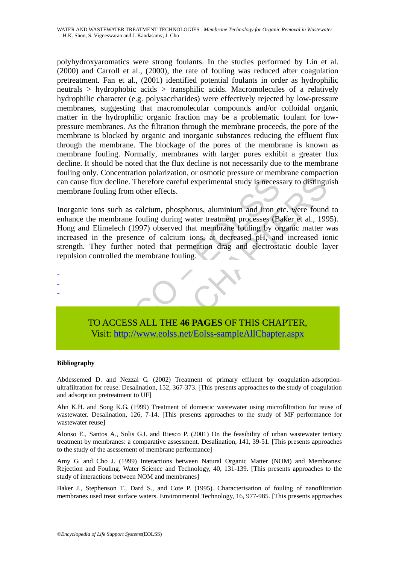polyhydroxyaromatics were strong foulants. In the studies performed by Lin et al. (2000) and Carroll et al., (2000), the rate of fouling was reduced after coagulation pretreatment. Fan et al., (2001) identified potential foulants in order as hydrophilic neutrals > hydrophobic acids > transphilic acids. Macromolecules of a relatively hydrophilic character (e.g. polysaccharides) were effectively rejected by low-pressure membranes, suggesting that macromolecular compounds and/or colloidal organic matter in the hydrophilic organic fraction may be a problematic foulant for lowpressure membranes. As the filtration through the membrane proceeds, the pore of the membrane is blocked by organic and inorganic substances reducing the effluent flux through the membrane. The blockage of the pores of the membrane is known as membrane fouling. Normally, membranes with larger pores exhibit a greater flux decline. It should be noted that the flux decline is not necessarily due to the membrane fouling only. Concentration polarization, or osmotic pressure or membrane compaction can cause flux decline. Therefore careful experimental study is necessary to distinguish membrane fouling from other effects.

cause flux decline. Therefore careful experimental study is necess<br>therane fouling from other effects.<br>ganic ions such as calcium, phosphorus, aluminium and iron et<br>mance the membrane fouling during water treatment process Therefore careful experimental study is necessary to distingual<br>that decline. Therefore careful experimental study is necessary to distingu<br>fouling from other effects.<br>tions such as calcium, phosphorus, aluminium and iron Inorganic ions such as calcium, phosphorus, aluminium and iron etc. were found to enhance the membrane fouling during water treatment processes (Baker et al., 1995). Hong and Elimelech (1997) observed that membrane fouling by organic matter was increased in the presence of calcium ions, at decreased pH, and increased ionic strength. They further noted that permeation drag and electrostatic double layer repulsion controlled the membrane fouling.



# TO ACCESS ALL THE **46 PAGES** OF THIS CHAPTER, Visit: http://www.eolss.net/Eolss-sampleAllChapter.aspx

#### **Bibliography**

Abdessemed D. and Nezzal G. (2002) Treatment of primary effluent by coagulation-adsorptionultrafiltration for reuse. Desalination, 152, 367-373. [This presents approaches to the study of coagulation and adsorption pretreatment to UF]

Ahn K.H. and Song K.G. (1999) Treatment of domestic wastewater using microfiltration for reuse of wastewater. Desalination, 126, 7-14. [This presents approaches to the study of MF performance for wastewater reuse]

Alonso E., Santos A., Solis G.J. and Riesco P. (2001) On the feasibility of urban wastewater tertiary treatment by membranes: a comparative assessment. Desalination, 141, 39-51. [This presents approaches to the study of the asessement of membrane performance]

Amy G. and Cho J. (1999) Interactions between Natural Organic Matter (NOM) and Membranes: Rejection and Fouling. Water Science and Technology, 40, 131-139. [This presents approaches to the study of interactions between NOM and membranes]

Baker J., Stephenson T., Dard S., and Cote P. (1995). Characterisation of fouling of nanofiltration membranes used treat surface waters. Environmental Technology, 16, 977-985. [This presents approaches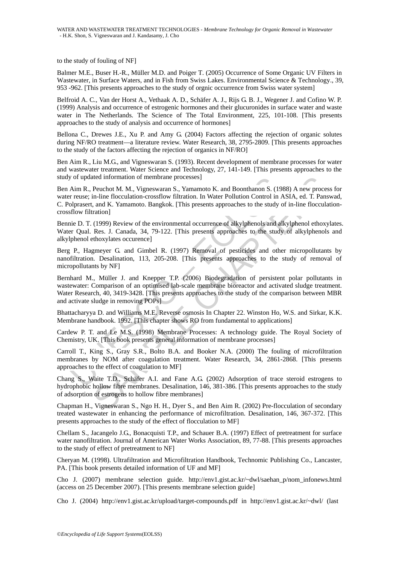to the study of fouling of NF]

Balmer M.E., Buser H.-R., Müller M.D. and Poiger T. (2005) Occurrence of Some Organic UV Filters in Wastewater, in Surface Waters, and in Fish from Swiss Lakes. Environmental Science & Technology., 39, 953 -962. [This presents approaches to the study of orgnic occurrence from Swiss water system]

Belfroid A. C., Van der Horst A., Vethaak A. D., Schäfer A. J., Rijs G. B. J., Wegener J. and Cofino W. P. (1999) Analysis and occurrence of estrogenic hormones and their glucuronides in surface water and waste water in The Netherlands. The Science of The Total Environment, 225, 101-108. [This presents approaches to the study of analysis and occurrence of hormones]

Bellona C., Drewes J.E., Xu P. and Amy G. (2004) Factors affecting the rejection of organic solutes during NF/RO treatment—a literature review. Water Research, 38, 2795-2809. [This presents approaches to the study of the factors affecting the rejection of organics in NF/RO]

Ben Aim R., Liu M.G., and Vigneswaran S. (1993). Recent development of membrane processes for water and wastewater treatment. Water Science and Technology, 27, 141-149. [This presents approaches to the study of updated information of membrane processes]

Ben Aim R., Peuchot M. M., Vigneswaran S., Yamamoto K. and Boonthanon S. (1988) A new process for water reuse; in-line flocculation-crossflow filtration. In Water Pollution Control in ASIA, ed. T. Panswad, C. Polprasert, and K. Yamamoto. Bangkok. [This presents approaches to the study of in-line flocculationcrossflow filtration]

Bennie D. T. (1999) Review of the environmental occurrence of alkylphenols and alkylphenol ethoxylates. Water Qual. Res. J. Canada, 34, 79-122. [This presents approaches to the study of alkylphenols and alkylphenol ethoxylates occurence]

Berg P., Hagmeyer G. and Gimbel R. (1997) Removal of pesticides and other micropollutants by nanofiltration. Desalination, 113, 205-208. [This presents approaches to the study of removal of micropollutants by NF]

of updated information of membrane processes]<br>Aim R., Peuchot M. M., Vigneswaran S., Yamamoto K. and Boonthanon S. (15<br>
riesue; in-line flocculation-crossflow filtration. In Water Pollution Control in .<br>
riesue; in-line fl ited information of membrane processes]<br>
Peuchot M., Vigneswaran S., Yamamoto K. and Boonthanon S. (1988) A new proces<br>
Peuchot M. M., Vigneswaran S., Yamamoto K. and Boonthanon S. (1988) A new proces<br>
in-line flocculation Bernhard M., Müller J. and Knepper T.P. (2006) Biodegradation of persistent polar pollutants in wastewater: Comparison of an optimised lab-scale membrane bioreactor and activated sludge treatment. Water Research, 40, 3419-3428. [This presents approaches to the study of the comparison between MBR and activate sludge in removing POPs]

Bhattacharyya D. and Williams M.E. Reverse osmosis In Chapter 22. Winston Ho, W.S. and Sirkar, K.K. Membrane handbook. 1992. [This chapter shows RO from fundamental to applications]

Cardew P. T. and Le M.S. (1998) Membrane Processes: A technology guide. The Royal Society of Chemistry, UK. [This book presents general information of membrane processes]

Carroll T., King S., Gray S.R., Bolto B.A. and Booker N.A. (2000) The fouling of microfiltration membranes by NOM after coagulation treatment. Water Research, 34, 2861-2868. [This presents approaches to the effect of coagulation to MF]

Chang S., Waite T.D., Schäfer A.I. and Fane A.G. (2002) Adsorption of trace steroid estrogens to hydrophobic hollow fibre membranes. Desalination, 146, 381-386. [This presents approaches to the study of adsorption of estrogens to hollow fibre membranes]

Chapman H., Vigneswaran S., Ngo H. H., Dyer S., and Ben Aim R. (2002) Pre-flocculation of secondary treated wastewater in enhancing the performance of microfiltration. Desalination, 146, 367-372. [This presents approaches to the study of the effect of flocculation to MF]

Chellam S., Jacangelo J.G., Bonacquisti T.P., and Schauer B.A. (1997) Effect of pretreatment for surface water nanofiltration. Journal of American Water Works Association, 89, 77-88. [This presents approaches to the study of effect of pretreatment to NF]

Cheryan M. (1998). Ultrafiltration and Microfiltration Handbook, Technomic Publishing Co., Lancaster, PA. [This book presents detailed information of UF and MF]

Cho J. (2007) membrane selection guide. http://env1.gist.ac.kr/~dwl/saehan\_p/nom\_infonews.html (access on 25 December 2007). [This presents membrane selection guide]

Cho J. (2004) http://env1.gist.ac.kr/upload/target-compounds.pdf in http://env1.gist.ac.kr/~dwl/ (last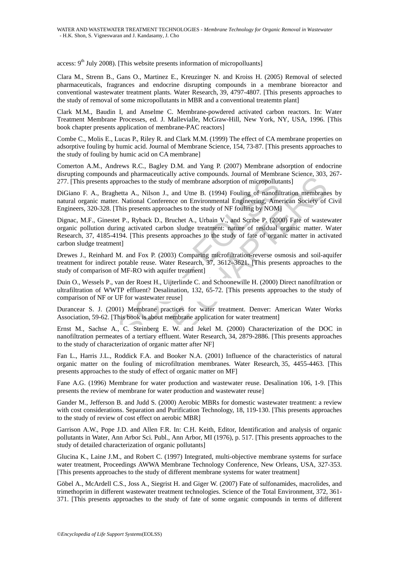access:  $9<sup>th</sup>$  July 2008). [This website presents information of micropolluants]

Clara M., Strenn B., Gans O., Martinez E., Kreuzinger N. and Kroiss H. (2005) Removal of selected pharmaceuticals, fragrances and endocrine disrupting compounds in a membrane bioreactor and conventional wastewater treatment plants. Water Research, 39, 4797-4807. [This presents approaches to the study of removal of some micropollutants in MBR and a conventional treatemtn plant]

Clark M.M., Baudin I, and Anselme C. Membrane-powdered activated carbon reactors. In: Water Treatment Membrane Processes, ed. J. Mallevialle, McGraw-Hill, New York, NY, USA, 1996. [This book chapter presents application of membrane-PAC reactors]

Combe C., Molis E., Lucas P., Riley R. and Clark M.M. (1999) The effect of CA membrane properties on adsorptive fouling by humic acid. Journal of Membrane Science, 154, 73-87. [This presents approaches to the study of fouling by humic acid on CA membrane]

Comerton A.M., Andrews R.C., Bagley D.M. and Yang P. (2007) Membrane adsorption of endocrine disrupting compounds and pharmaceutically active compounds. Journal of Membrane Science, 303, 267- 277. [This presents approaches to the study of membrane adsorption of micropollutants]

DiGiano F. A., Braghetta A., Nilson J., and Utne B. (1994) Fouling of nanofiltration membranes by natural organic matter. National Conference on Environmental Engineering, American Society of Civil Engineers, 320-328. [This presents approaches to the study of NF fouling by NOM]

[This presents approaches to the study of membrane adsorption of micropolluta<br>
(This presents approaches to the study of membrane adsorption of micropolluta<br>
ano F. A., Braghetta A., Nilson J., and Utne B. (1994) Fouling o mpontan paramateurically determined three compositions. Scalination and paramateurical conditions consists approaches to the study of membrane adsorption of micropollulants]<br>
A., Braghetta A., Nilson J., and Utne B. (1994) Dignac, M.F., Ginestet P., Ryback D., Bruchet A., Urbain V., and Scribe P. (2000) Fate of wastewater organic pollution during activated carbon sludge treatment: nature of residual organic matter. Water Research, 37, 4185-4194. [This presents approaches to the study of fate of organic matter in activated carbon sludge treatment]

Drewes J., Reinhard M. and Fox P. (2003) Comparing microfiltration-reverse osmosis and soil-aquifer treatment for indirect potable reuse. Water Research, 37, 3612–3621. [This presents approaches to the study of comparison of MF-RO with aquifer treatment]

Duin O., Wessels P., van der Roest H., Uijterlinde C. and Schoonewille H. (2000) Direct nanofiltration or ultrafiltration of WWTP effluent? Desalination, 132, 65-72. [This presents approaches to the study of comparison of NF or UF for wastewater reuse]

Durancear S. J. (2001) Membrane practices for water treatment. Denver: American Water Works Association, 59-62. [This book is about membrane application for water treatment]

Ernst M., Sachse A., C. Steinberg E. W. and Jekel M. (2000) Characterization of the DOC in nanofiltration permeates of a tertiary effluent. Water Research, 34, 2879-2886. [This presents approaches to the study of characterization of organic matter after NF]

Fan L., Harris J.L., Roddick F.A. and Booker N.A. (2001) Influence of the characteristics of natural organic matter on the fouling of microfiltration membranes. Water Research, 35, 4455-4463. [This presents approaches to the study of effect of organic matter on MF]

Fane A.G. (1996) Membrane for water production and wastewater reuse. Desalination 106, 1-9. [This presents the review of membrane for water production and wastewater reuse]

Gander M., Jefferson B. and Judd S. (2000) Aerobic MBRs for domestic wastewater treatment: a review with cost considerations. Separation and Purification Technology, 18, 119-130. [This presents approaches to the study of review of cost effect on aerobic MBR]

Garrison A.W., Pope J.D. and Allen F.R. In: C.H. Keith, Editor, Identification and analysis of organic pollutants in Water, Ann Arbor Sci. Publ., Ann Arbor, MI (1976), p. 517. [This presents approaches to the study of detailed characterization of organic pollutants]

Glucina K., Laine J.M., and Robert C. (1997) Integrated, multi-objective membrane systems for surface water treatment, Proceedings AWWA Membrane Technology Conference, New Orleans, USA, 327-353. [This presents approaches to the study of different membrane systems for water treatment]

Göbel A., McArdell C.S., Joss A., Siegrist H. and Giger W. (2007) Fate of sulfonamides, macrolides, and trimethoprim in different wastewater treatment technologies. Science of the Total Environment, 372, 361- 371. [This presents approaches to the study of fate of some organic compounds in terms of different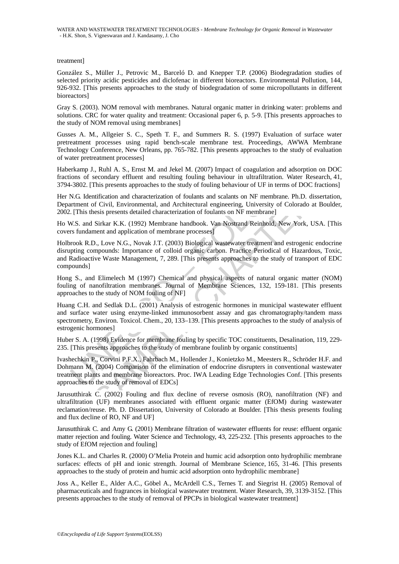#### treatment]

González S., Müller J., Petrovic M., Barceló D. and Knepper T.P. (2006) Biodegradation studies of selected priority acidic pesticides and diclofenac in different bioreactors. Environmental Pollution, 144, 926-932. [This presents approaches to the study of biodegradation of some micropollutants in different bioreactors]

Gray S. (2003). NOM removal with membranes. Natural organic matter in drinking water: problems and solutions. CRC for water quality and treatment: Occasional paper 6, p. 5-9. [This presents approaches to the study of NOM removal using membranes]

Gusses A. M., Allgeier S. C., Speth T. F., and Summers R. S. (1997) Evaluation of surface water pretreatment processes using rapid bench-scale membrane test. Proceedings, AWWA Membrane Technology Conference, New Orleans, pp. 765-782. [This presents approaches to the study of evaluation of water pretreatment processes]

Haberkamp J., Ruhl A. S., Ernst M. and Jekel M. (2007) Impact of coagulation and adsorption on DOC fractions of secondary effluent and resulting fouling behaviour in ultrafiltration. Water Research, 41, 3794-3802. [This presents approaches to the study of fouling behaviour of UF in terms of DOC fractions]

Her N.G. Identification and characterization of foulants and scalants on NF membrane. Ph.D. dissertation, Department of Civil, Environmental, and Architectural engineering, University of Colorado at Boulder, 2002. [This thesis presents detailed characterization of foulants on NF membrane]

Ho W.S. and Sirkar K.K. (1992) Membrane handbook. Van Nostrand Reinhold, New York, USA. [This covers fundament and application of membrane processes]

ons of secondary eitlinent and resulting fouling behaviour in ultrafillation<br>-3-3802. [This presents approaches to the study of fouling behaviour of UF in ter-<br>3-3802. [This presents approaches to the study of fouling beha secondary effluent and resulting fouling behaviour in ultrafillration. Water Researct<br>SThis presents approaches to the study of fouling behaviour of UF in terms of DOC fracti<br>trification and characterization of foulinats a Holbrook R.D., Love N.G., Novak J.T. (2003) Biological wastewater treatment and estrogenic endocrine disrupting compounds: Importance of colloid organic carbon. Practice Periodical of Hazardous, Toxic, and Radioactive Waste Management, 7, 289. [This presents approaches to the study of transport of EDC compounds]

Hong S., and Elimelech M (1997) Chemical and physical aspects of natural organic matter (NOM) fouling of nanofiltration membranes. Journal of Membrane Sciences, 132, 159-181. [This presents approaches to the study of NOM fouling of NF]

Huang C.H. and Sedlak D.L. (2001) Analysis of estrogenic hormones in municipal wastewater effluent and surface water using enzyme-linked immunosorbent assay and gas chromatography/tandem mass spectrometry, Environ. Toxicol. Chem., 20, 133–139. [This presents approaches to the study of analysis of estrogenic hormones]

Huber S. A. (1998) Evidence for membrane fouling by specific TOC constituents, Desalination, 119, 229- 235. [This presents approaches to the study of membrane foulinb by organic constituents]

Ivashechkin P., Corvini P.F.X., Fahrbach M., Hollender J., Konietzko M., Meesters R., Schröder H.F. and Dohmann M. (2004) Comparison of the elimination of endocrine disrupters in conventional wastewater treatment plants and membrane bioreactors. Proc. IWA Leading Edge Technologies Conf. [This presents approaches to the study of removal of EDCs]

Jarusutthirak C. (2002) Fouling and flux decline of reverse osmosis (RO), nanofiltration (NF) and ultrafiltration (UF) membranes associated with effluent organic matter (EfOM) during wastewater reclamation/reuse. Ph. D. Dissertation, University of Colorado at Boulder. [This thesis presents fouling and flux decline of RO, NF and UF]

Jarusutthirak C. and Amy G. (2001) Membrane filtration of wastewater effluents for reuse: effluent organic matter rejection and fouling. Water Science and Technology, 43, 225-232. [This presents approaches to the study of EfOM rejection and fouling]

Jones K.L. and Charles R. (2000) O'Melia Protein and humic acid adsorption onto hydrophilic membrane surfaces: effects of pH and ionic strength. Journal of Membrane Science, 165, 31-46. [This presents approaches to the study of protein and humic acid adsorption onto hydrophilic membrane]

Joss A., Keller E., Alder A.C., Göbel A., McArdell C.S., Ternes T. and Siegrist H. (2005) Removal of pharmaceuticals and fragrances in biological wastewater treatment. Water Research, 39, 3139-3152. [This presents approaches to the study of removal of PPCPs in biological wastewater treatment]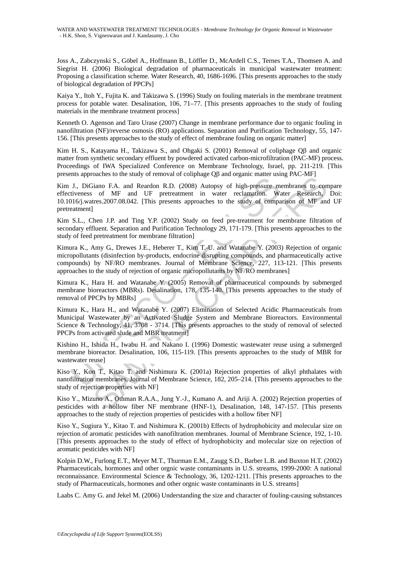Joss A., Zabczynski S., Göbel A., Hoffmann B., Löffler D., McArdell C.S., Ternes T.A., Thomsen A. and Siegrist H. (2006) Biological degradation of pharmaceuticals in municipal wastewater treatment: Proposing a classification scheme. Water Research, 40, 1686-1696. [This presents approaches to the study of biological degradation of PPCPs]

Kaiya Y., Itoh Y., Fujita K. and Takizawa S. (1996) Study on fouling materials in the membrane treatment process for potable water. Desalination, 106, 71–77. [This presents approaches to the study of fouling materials in the membrane treatment process]

Kenneth O. Agenson and Taro Urase (2007) Change in membrane performance due to organic fouling in nanofiltration (NF)/reverse osmosis (RO) applications. Separation and Purification Technology, 55, 147- 156. [This presents approaches to the study of effect of membrane fouling on organic matter]

Kim H. S., Katayama H., Takizawa S., and Ohgaki S. (2001) Removal of coliphage Qβ and organic matter from synthetic secondary effluent by powdered activated carbon-microfiltration (PAC-MF) process. Proceedings of IWA Specialized Conference on Membrane Technology, Israel, pp. 211-219. [This presents approaches to the study of removal of coliphage Qβ and organic matter using PAC-MF]

The United Call Call Reader Care and New Transmitter and New Transmitter and Technical Call Reader Intiveness of MF and UF pretreatment in water reclamation. Wailso information and Particular This pressure metiveness of MF values of the state) of the moment of conjune of pair of the membrane and in<br>tiano F.A. and Readon R.D. (2008) Autopsy of high-pressure membranes to con<br>of MF and UF pretreatment in water reclamation. Water Research,<br>trees Kim J., DiGiano F.A. and Reardon R.D. (2008) Autopsy of high-pressure membranes to compare effectiveness of MF and UF pretreatment in water reclamation. Water Research, Doi: 10.1016/j.watres.2007.08.042. [This presents approaches to the study of comparison of MF and UF pretreatment]

Kim S.L., Chen J.P. and Ting Y.P. (2002) Study on feed pre-treatment for membrane filtration of secondary effluent. Separation and Purification Technology 29, 171-179. [This presents approaches to the study of feed pretreatment for membrane filtration]

Kimura K., Amy G., Drewes J.E., Heberer T., Kim T.-U. and Watanabe Y. (2003) Rejection of organic micropollutants (disinfection by-products, endocrine disrupting compounds, and pharmaceutically active compounds) by NF/RO membranes. Journal of Membrane Science, 227, 113-121. [This presents approaches to the study of rejection of organic micropollutants by NF/RO membranes]

Kimura K., Hara H. and Watanabe Y. (2005) Removal of pharmaceutical compounds by submerged membrane bioreactors (MBRs). Desalination, 178, 135-140. [This presents approaches to the study of removal of PPCPs by MBRs]

Kimura K., Hara H., and Watanabe Y. (2007) Elimination of Selected Acidic Pharmaceuticals from Municipal Wastewater by an Activated Sludge System and Membrane Bioreactors. Environmental Science & Technology, 41, 3708 - 3714. [This presents approaches to the study of removal of selected PPCPs from activated slude and MBR treatment]

Kishino H., Ishida H., Iwabu H. and Nakano I. (1996) Domestic wastewater reuse using a submerged membrane bioreactor. Desalination, 106, 115-119. [This presents approaches to the study of MBR for wastewater reuse]

Kiso Y., Kon T., Kitao T. and Nishimura K. (2001a) Rejection properties of alkyl phthalates with nanofiltration membranes. Journal of Membrane Science, 182, 205–214. [This presents approaches to the study of rejection properties with NF]

Kiso Y., Mizuno A., Othman R.A.A., Jung Y.-J., Kumano A. and Ariji A. (2002) Rejection properties of pesticides with a hollow fiber NF membrane (HNF-1), Desalination, 148, 147-157. [This presents approaches to the study of rejection properties of pesticides with a hollow fiber NF]

Kiso Y., Sugiura Y., Kitao T. and Nishimura K. (2001b) Effects of hydrophobicity and molecular size on rejection of aromatic pesticides with nanofiltration membranes. Journal of Membrane Science, 192, 1-10. [This presents approaches to the study of effect of hydrophobicity and molecular size on rejection of aromatic pesticides with NF]

Kolpin D.W., Furlong E.T., Meyer M.T., Thurman E.M., Zaugg S.D., Barber L.B. and Buxton H.T. (2002) Pharmaceuticals, hormones and other orgnic waste contaminants in U.S. streams, 1999-2000: A national reconnaissance. Environmental Science & Technology, 36, 1202-1211. [This presents approaches to the study of Pharmaceuticals, hormones and other orgnic waste contaminants in U.S. streams]

Laabs C. Amy G. and Jekel M. (2006) Understanding the size and character of fouling-causing substances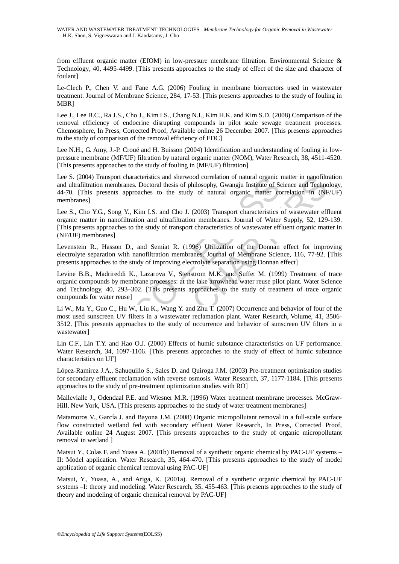from effluent organic matter (EfOM) in low-pressure membrane filtration. Environmental Science & Technology, 40, 4495-4499. [This presents approaches to the study of effect of the size and character of foulant]

Le-Clech P., Chen V. and Fane A.G. (2006) Fouling in membrane bioreactors used in wastewater treatment. Journal of Membrane Science, 284, 17-53. [This presents approaches to the study of fouling in MBR]

Lee J., Lee B.C., Ra J.S., Cho J., Kim I.S., Chang N.I., Kim H.K. and Kim S.D. (2008) Comparison of the removal efficiency of endocrine disrupting compounds in pilot scale sewage treatment processes. Chemosphere, In Press, Corrected Proof, Available online 26 December 2007. [This presents approaches to the study of comparison of the removal efficiency of EDC]

Lee N.H., G. Amy, J.-P. Croué and H. Buisson (2004) Identification and understanding of fouling in lowpressure membrane (MF/UF) filtration by natural organic matter (NOM), Water Research, 38, 4511-4520. [This presents approaches to the study of fouling in (MF/UF) filtration]

Lee S. (2004) Transport characteristics and sherwood correlation of natural organic matter in nanofiltration and ultrafiltration membranes. Doctoral thesis of philosophy, Gwangju Institute of Science and Technology, 44-70. [This presents approaches to the study of natural organic matter correlation in (NF/UF) membranes]

Lee S., Cho Y.G., Song Y., Kim I.S. and Cho J. (2003) Transport characteristics of wastewater effluent organic matter in nanofiltration and ultrafiltration membranes. Journal of Water Supply, 52, 129-139. [This presents approaches to the study of transport characteristics of wastewater effluent organic matter in (NF/UF) membranes]

Levenstein R., Hasson D., and Semiat R. (1996) Utilization of the Donnan effect for improving electrolyte separation with nanofiltration membranes. Journal of Membrane Science, 116, 77-92. [This presents approaches to the study of improving electrolyte separation using Donnan effect]

Levine B.B., Madrireddi K., Lazarova V., Stenstrom M.K. and Suffet M. (1999) Treatment of trace organic compounds by membrane processes: at the lake arrowhead water reuse pilot plant. Water Science and Technology, 40, 293–302. [This presents approaches to the study of treatment of trace organic compounds for water reuse]

S. (2004) Transport characteristics and shervood correlation of natural organic<br>Intrafiltration membranes. Doctoral thesis of philosophy, Gwangju Institute of So. (This presents approaches to the study of natural organic m Transport characteristics and sherwood corelation of natural organic matter in nanofilltant<br>
noin membranes. Doctoral thesis of philosophy, Gwangin Institute of Science and Techno<br>
presents approaches to the study of natu Li W., Ma Y., Guo C., Hu W., Liu K., Wang Y. and Zhu T. (2007) Occurrence and behavior of four of the most used sunscreen UV filters in a wastewater reclamation plant. Water Research, Volume, 41, 3506- 3512. [This presents approaches to the study of occurrence and behavior of sunscreen UV filters in a wastewater]

Lin C.F., Lin T.Y. and Hao O.J. (2000) Effects of humic substance characteristics on UF performance. Water Research, 34, 1097-1106. [This presents approaches to the study of effect of humic substance characteristics on UF]

López-Ramírez J.A., Sahuquillo S., Sales D. and Quiroga J.M. (2003) Pre-treatment optimisation studies for secondary effluent reclamation with reverse osmosis. Water Research, 37, 1177-1184. [This presents approaches to the study of pre-treatment optimization studies with RO]

Mallevialle J., Odendaal P.E. and Wiesner M.R. (1996) Water treatment membrane processes. McGraw-Hill, New York, USA. [This presents approaches to the study of water treatment membranes]

Matamoros V., García J. and Bayona J.M. (2008) Organic micropollutant removal in a full-scale surface flow constructed wetland fed with secondary effluent Water Research, In Press, Corrected Proof, Available online 24 August 2007. [This presents approaches to the study of organic micropollutant removal in wetland ]

Matsui Y., Colas F. and Yuasa A. (2001b) Removal of a synthetic organic chemical by PAC-UF systems – II: Model application. Water Research, 35, 464-470. [This presents approaches to the study of model application of organic chemical removal using PAC-UF]

Matsui, Y., Yuasa, A., and Ariga, K. (2001a). Removal of a synthetic organic chemical by PAC-UF systems –I: theory and modeling. Water Research, 35, 455-463. [This presents approaches to the study of theory and modeling of organic chemical removal by PAC-UF]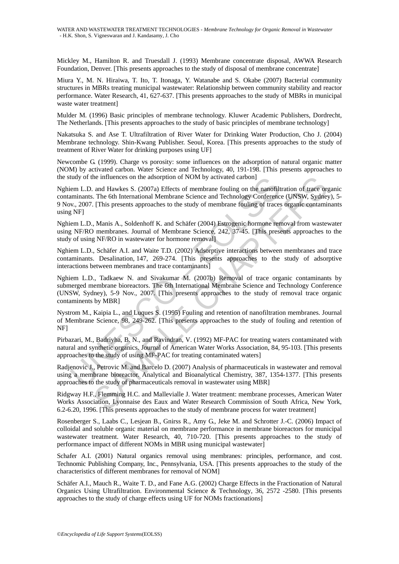Mickley M., Hamilton R. and Truesdall J. (1993) Membrane concentrate disposal, AWWA Research Foundation, Denver. [This presents approaches to the study of disposal of membrane concentrate]

Miura Y., M. N. Hiraiwa, T. Ito, T. Itonaga, Y. Watanabe and S. Okabe (2007) Bacterial community structures in MBRs treating municipal wastewater: Relationship between community stability and reactor performance. Water Research, 41, 627-637. [This presents approaches to the study of MBRs in municipal waste water treatment]

Mulder M. (1996) Basic principles of membrane technology. Kluwer Academic Publishers, Dordrecht, The Netherlands. [This presents approaches to the study of basic principles of membrane technology]

Nakatsuka S. and Ase T. Ultrafiltration of River Water for Drinking Water Production, Cho J. (2004) Membrane technology. Shin-Kwang Publisher. Seoul, Korea. [This presents approaches to the study of treatment of River Water for drinking purposes using UF]

Newcombe G. (1999). Charge vs porosity: some influences on the adsorption of natural organic matter (NOM) by activated carbon. Water Science and Technology, 40, 191-198. [This presents approaches to the study of the influences on the adsorption of NOM by activated carbon]

Nghiem L.D. and Hawkes S. (2007a) Effects of membrane fouling on the nanofiltration of trace organic contaminants. The 6th International Membrane Science and Technology Conference (UNSW, Sydney), 5- 9 Nov., 2007. [This presents approaches to the study of membrane fouling of traces organic contaminants using NF]

Nghiem L.D., Manis A., Soldenhoff K. and Schäfer (2004) Estrogenic hormone removal from wastewater using NF/RO membranes. Journal of Membrane Science, 242, 37-45. [This presents approaches to the study of using NF/RO in wastewater for hormone removal]

Nghiem L.D., Schäfer A.I. and Waite T.D. (2002) Adsorptive interactions between membranes and trace contaminants. Desalination, 147, 269-274. [This presents approaches to the study of adsorptive interactions between membranes and trace contaminants]

tudy of the influences on the adsorption of NOM by activated carbon]<br>
em L.D. and Hawkes S. (2007a) Effects of membrane fouling on the nanofit<br>
eminimans. The 6th International Membrane Science and Technology Conferenc<br>
w. he influences on the adsorption of NOM by activated carbon]<br>
and Hawkes S. (2007a) Effects of membrane fouling on the nanofiltration of trace on<br>
T. The 6th International Membrane Science and Technology Conference (UNSW, S Nghiem L.D., Tadkaew N. and Sivakumar M. (2007b) Removal of trace organic contaminants by submerged membrane bioreactors. The 6th International Membrane Science and Technology Conference (UNSW, Sydney), 5-9 Nov., 2007. [This presents approaches to the study of removal trace organic contaminents by MBR]

Nystrom M., Kaipia L., and Luques S. (1995) Fouling and retention of nanofiltration membranes. Journal of Membrane Science, 98, 249-262. [This presents approaches to the study of fouling and retention of NF]

Pirbazari, M., Badriyha, B. N., and Ravindran, V. (1992) MF-PAC for treating waters contaminated with natural and synthetic organics. Journal of American Water Works Association, 84, 95-103. [This presents approaches to the study of using MF-PAC for treating contaminated waters]

Radjenovic J., Petrovic M. and Barcelo D. (2007) Analysis of pharmaceuticals in wastewater and removal using a membrane bioreactor. Analytical and Bioanalytical Chemistry, 387, 1354-1377. [This presents approaches to the study of pharmaceuticals removal in wastewater using MBR]

Ridgway H.F., Flemming H.C. and Mallevialle J. Water treatment: membrane processes, American Water Works Association, Lyonnaise des Eaux and Water Research Commission of South Africa, New York, 6.2-6.20, 1996. [This presents approaches to the study of membrane process for water treatment]

Rosenberger S., Laabs C., Lesjean B., Gnirss R., Amy G., Jeke M. and Schrotter J.-C. (2006) Impact of colloidal and soluble organic material on membrane performance in membrane bioreactors for municipal wastewater treatment. Water Research, 40, 710-720. [This presents approaches to the study of performance impact of different NOMs in MBR using municipal wastewater]

Schafer A.I. (2001) Natural organics removal using membranes: principles, performance, and cost. Technomic Publishing Company, Inc., Pennsylvania, USA. [This presents approaches to the study of the characteristics of different membranes for removal of NOM]

Schäfer A.I., Mauch R., Waite T. D., and Fane A.G. (2002) Charge Effects in the Fractionation of Natural Organics Using Ultrafiltration. Environmental Science & Technology, 36, 2572 -2580. [This presents approaches to the study of charge effects using UF for NOMs fractionations]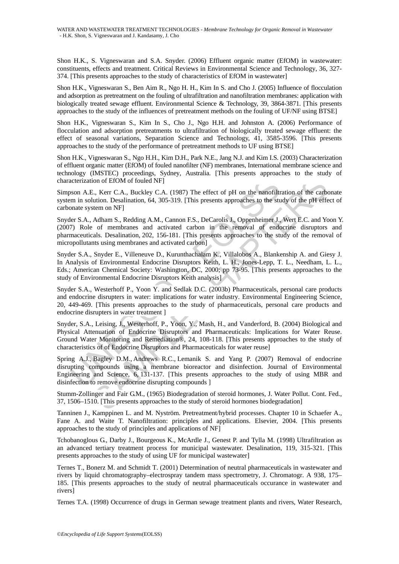Shon H.K., S. Vigneswaran and S.A. Snyder. (2006) Effluent organic matter (EfOM) in wastewater: constituents, effects and treatment. Critical Reviews in Environmental Science and Technology, 36, 327- 374. [This presents approaches to the study of characteristics of EfOM in wastewater]

Shon H.K., Vigneswaran S., Ben Aim R., Ngo H. H., Kim In S. and Cho J. (2005) Influence of flocculation and adsorption as pretreatment on the fouling of ultrafiltration and nanofiltration membranes: application with biologically treated sewage effluent. Environmental Science & Technology, 39, 3864-3871. [This presents approaches to the study of the influences of pretreatment methods on the fouling of UF/NF using BTSE]

Shon H.K., Vigneswaran S., Kim In S., Cho J., Ngo H.H. and Johnston A. (2006) Performance of flocculation and adsorption pretreatments to ultrafiltration of biologically treated sewage effluent: the effect of seasonal variations, Separation Science and Technology, 41, 3585-3596. [This presents approaches to the study of the performance of pretreatment methods to UF using BTSE]

Shon H.K., Vigneswaran S., Ngo H.H., Kim D.H., Park N.E., Jang N.J. and Kim I.S. (2003) Characterization of effluent organic matter (EfOM) of fouled nanofilter (NF) membranes, International membrane science and technology (IMSTEC) proceedings, Sydney, Australia. [This presents approaches to the study of characterization of EfOM of fouled NF]

Simpson A.E., Kerr C.A., Buckley C.A. (1987) The effect of pH on the nanofiltration of the carbonate system in solution. Desalination, 64, 305-319. [This presents approaches to the study of the pH effect of carbonate system on NF]

Snyder S.A., Adham S., Redding A.M., Cannon F.S., DeCarolis J., Oppenheimer J., Wert E.C. and Yoon Y. (2007) Role of membranes and activated carbon in the removal of endocrine disruptors and pharmaceuticals. Desalination, 202, 156-181. [This presents approaches to the study of the removal of micropollutants using membranes and activated carbon]

actrization of EfOM of fouled NF]<br>
11<br>
2000 A.E., Kerr C.A., Buckley C.A. (1987) The effect of pH on the nanofiltry<br>
2000 A.E., Kerr C.A., Addians (A.A., (1987) The effect of pH on the nanofiltry<br>
11 m in solution. Desalin ion of EfOM of fouled NF]<br>
i., Kerr C.A., Buckley C.A. (1987) The effect of pH on the nanofiltration of the carbottom. Desaintation, 64, 305-319. [This presents approaches to the study of the pH effect<br>
item on NF]<br>
Adham Snyder S.A., Snyder E., Villeneuve D., Kurunthachalam K., Villalobos A., Blankenship A. and Giesy J. In Analysis of Environmental Endocrine Disruptors Keith, L. H., Jones-Lepp, T. L., Needham, L. L., Eds.; American Chemical Society: Washington, DC, 2000; pp 73-95. [This presents approaches to the study of Environmental Endocrine Disruptors Keith analysis]

Snyder S.A., Westerhoff P., Yoon Y. and Sedlak D.C. (2003b) Pharmaceuticals, personal care products and endocrine disrupters in water: implications for water industry. Environmental Engineering Science, 20, 449-469. [This presents approaches to the study of pharmaceuticals, personal care products and endocrine disrupters in water treatment ]

Snyder, S.A., Leising, J., Westerhoff, P., Yoon, Y., Mash, H., and Vanderford, B. (2004) Biological and Physical Attenuation of Endocrine Disruptors and Pharmaceuticals: Implications for Water Reuse. Ground Water Monitoring and Remediation®, 24, 108-118. [This presents approaches to the study of characteristics of of Endocrine Disruptors and Pharmaceuticals for water reuse]

Spring A.J., Bagley D.M., Andrews R.C., Lemanik S. and Yang P. (2007) Removal of endocrine disrupting compounds using a membrane bioreactor and disinfection. Journal of Environmental Engineering and Science, 6, 131-137. [This presents approaches to the study of using MBR and disinfection to remove endocrine disrupting compounds ]

Stumm-Zollinger and Fair G.M., (1965) Biodegradation of steroid hormones, J. Water Pollut. Cont. Fed., 37, 1506–1510. [This presents approaches to the study of steroid hormones biodegradation]

Tanninen J., Kamppinen L. and M. Nyström. Pretreatment/hybrid processes. Chapter 10 in Schaefer A., Fane A. and Waite T. Nanofiltration: principles and applications. Elsevier, 2004. [This presents approaches to the study of principles and applications of NF]

Tchobanoglous G., Darby J., Bourgeous K., McArdle J., Genest P. and Tylla M. (1998) Ultrafiltration as an advanced tertiary treatment process for municipal wastewater. Desalination, 119, 315-321. [This presents approaches to the study of using UF for municipal wastewater]

Ternes T., Bonerz M. and Schmidt T. (2001) Determination of neutral pharmaceuticals in wastewater and rivers by liquid chromatography–electrospray tandem mass spectrometry, J. Chromatogr. A 938, 175– 185. [This presents approaches to the study of neutral pharmaceuticals occurance in wastewater and rivers]

Ternes T.A. (1998) Occurrence of drugs in German sewage treatment plants and rivers, Water Research,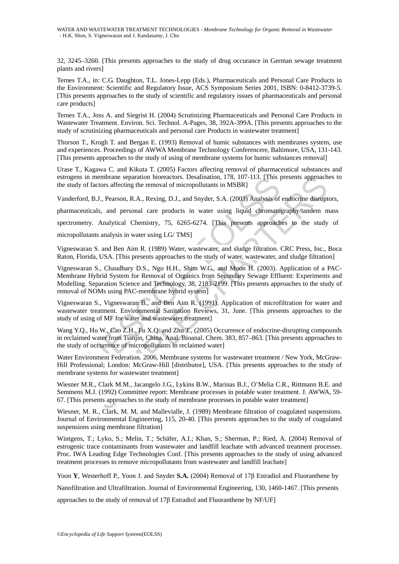32, 3245–3260. [This presents approaches to the study of drug occurance in German sewage treatment plants and rivers]

Ternes T.A., in: C.G. Daughton, T.L. Jones-Lepp (Eds.), Pharmaceuticals and Personal Care Products in the Environment: Scientific and Regulatory Issue, ACS Symposium Series 2001, ISBN: 0-8412-3739-5. [This presents approaches to the study of scientific and regulatory issues of pharmaceuticals and personal care products]

Ternes T.A., Joss A. and Siegrist H. (2004) Scrutinizing Pharmaceuticals and Personal Care Products in Wastewater Treatment. Environ. Sci. Technol. A-Pages, 38, 392A-399A. [This presents approaches to the study of scrutinizing pharmaceuticals and personal care Products in wastewater treatment]

Thorson T., Krogh T. and Bergan E. (1993) Removal of humic substances with membranes system, use and experiences. Proceedings of AWWA Membrane Technology Conferencere, Baltimore, USA, 131-143. [This presents approaches to the study of using of membrane systems for humic substances removal]

Urase T., Kagawa C. and Kikuta T. (2005) Factors affecting removal of pharmaceutical substances and estrogens in membrane separation bioreactors. Desalination, 178, 107-113. [This presents approaches to the study of factors affecting the removal of micropollutants in MSBR]

Vanderford, B.J., Pearson, R.A., Rexing, D.J., and Snyder, S.A. (2003) Analysis of endocrine disruptors,

pharmaceuticals, and personal care products in water using liquid chromatography/tandem mass

spectrometry. Analytical Chemistry, 75, 6265-6274. [This presents approaches to the study of

micropollutants analysis in water using LG/ TMS]

Vigneswaran S. and Ben Aim R. (1989) Water, wastewater, and sludge filtration. CRC Press, Inc., Boca Raton, Florida, USA. [This presents approaches to the study of water, wastewater, and sludge filtration]

gens in membrane separation bioreactors. Desalination, 178, 10/-113. [This Judy of factors affecting the removal of micropollutants in MSBR]<br>Lerford, B.J., Pearson, R.A., Rexing, D.J., and Snyder, S.A. (2003) Analysis of<br>m membrane separation bioreactors. Desalination, 178, 107-113. [This presents approach<br>actors affecting the renoval of micropollutants in MSBR]<br>B.J., Pearson, R.A., Rexing, D.J., and Snyder, S.A. (2003) Analysis of endocrine Vigneswaran S., Chaudhary D.S., Ngo H.H., Shim W.G., and Moon H. (2003). Application of a PAC-Membrane Hybrid System for Removal of Organics from Secondary Sewage Effluent: Experiments and Modelling. Separation Science and Technology, 38, 2183-2199. [This presents approaches to the study of removal of NOMs using PAC-membrane hybrid system]

Vigneswaran S., Vigneswaran B., and Ben Aim R. (1991). Application of microfiltration for water and wastewater treatment. Environmental Sanitation Reviews, 31, June. [This presents approaches to the study of using of MF for water and wastewater treatment]

Wang Y.Q., Hu W., Cao Z.H., Fu X.Q. and Zhu T., (2005) Occurrence of endocrine-disrupting compounds in reclaimed water from Tianjin, China, Anal. Bioanal. Chem. 383, 857–863. [This presents approaches to the study of occurrence of micropollutants in reclaimed water]

Water Environment Federation. 2006, Membrane systems for wastewater treatment / New York, McGraw-Hill Professional; London: McGraw-Hill [distributor], USA. [This presents approaches to the study of membrane systems for wastewater treatment]

Wiesner M.R., Clark M.M., Jacangelo J.G., Lykins B.W., Marinas B.J., O'Melia C.R., Rittmann B.E. and Semmens M.J. (1992) Committee report: Membrane processes in potable water treatment. J. AWWA, 59- 67. [This presents approaches to the study of membrane processes in potable water treatment]

Wiesner, M. R., Clark, M. M, and Mallevialle, J. (1989) Membrane filtration of coagulated suspensions. Journal of Environmental Engineering, 115, 20-40. [This presents approaches to the study of coagulated suspensions using membrane filtration]

Wintgens, T.; Lyko, S.; Melin, T.; Schäfer, A.I.; Khan, S.; Sherman, P.; Ried, A. (2004) Removal of estrogenic trace contaminants from wastewater and landfill leachate with advanced treatment processes. Proc. IWA Leading Edge Technologies Conf. [This presents approaches to the study of using advanced treatment processes to remove micropollutants from wastewater and landfill leachate]

Yoon **Y**, Westerhoff P., Yoon J. and Snyder **S.A.** (2004) Removal of 17β Estradiol and Fluoranthene by

Nanofiltration and Ultrafiltration. Journal of Environmental Engineering, 130, 1460-1467. [This presents

approaches to the study of removal of 17β Estradiol and Fluoranthene by NF/UF]